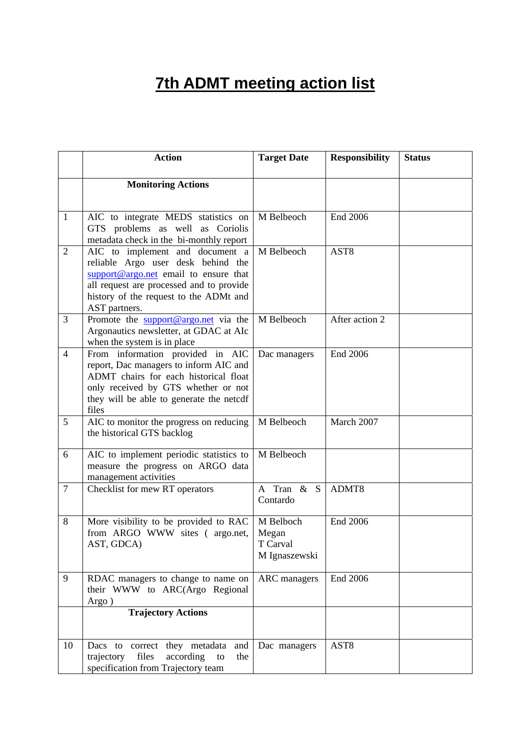## **7th ADMT meeting action list**

|                | <b>Action</b>                                                                                                                                                                                                         | <b>Target Date</b>                              | <b>Responsibility</b> | <b>Status</b> |
|----------------|-----------------------------------------------------------------------------------------------------------------------------------------------------------------------------------------------------------------------|-------------------------------------------------|-----------------------|---------------|
|                | <b>Monitoring Actions</b>                                                                                                                                                                                             |                                                 |                       |               |
|                |                                                                                                                                                                                                                       |                                                 |                       |               |
| $\mathbf{1}$   | AIC to integrate MEDS statistics on<br>GTS problems as well as Coriolis<br>metadata check in the bi-monthly report                                                                                                    | M Belbeoch                                      | End 2006              |               |
| $\overline{2}$ | AIC to implement and document a<br>reliable Argo user desk behind the<br>support@argo.net email to ensure that<br>all request are processed and to provide<br>history of the request to the ADMt and<br>AST partners. | M Belbeoch                                      | AST <sub>8</sub>      |               |
| $\overline{3}$ | Promote the support@argo.net via the<br>Argonautics newsletter, at GDAC at AIc<br>when the system is in place                                                                                                         | M Belbeoch                                      | After action 2        |               |
| $\overline{4}$ | From information provided in AIC<br>report, Dac managers to inform AIC and<br>ADMT chairs for each historical float<br>only received by GTS whether or not<br>they will be able to generate the netcdf<br>files       | Dac managers                                    | End 2006              |               |
| 5              | AIC to monitor the progress on reducing<br>the historical GTS backlog                                                                                                                                                 | M Belbeoch                                      | March 2007            |               |
| 6              | AIC to implement periodic statistics to<br>measure the progress on ARGO data<br>management activities                                                                                                                 | M Belbeoch                                      |                       |               |
| $\overline{7}$ | Checklist for mew RT operators                                                                                                                                                                                        | A Tran & S<br>Contardo                          | ADMT8                 |               |
| 8              | More visibility to be provided to RAC<br>from ARGO WWW sites (argo.net,<br>AST, GDCA)                                                                                                                                 | M Belboch<br>Megan<br>T Carval<br>M Ignaszewski | <b>End 2006</b>       |               |
| 9              | RDAC managers to change to name on<br>their WWW to ARC(Argo Regional<br>Argo)                                                                                                                                         | <b>ARC</b> managers                             | End 2006              |               |
|                | <b>Trajectory Actions</b>                                                                                                                                                                                             |                                                 |                       |               |
| 10             | Dacs to correct they metadata<br>and<br>files<br>trajectory<br>according<br>the<br>to<br>specification from Trajectory team                                                                                           | Dac managers                                    | AST <sub>8</sub>      |               |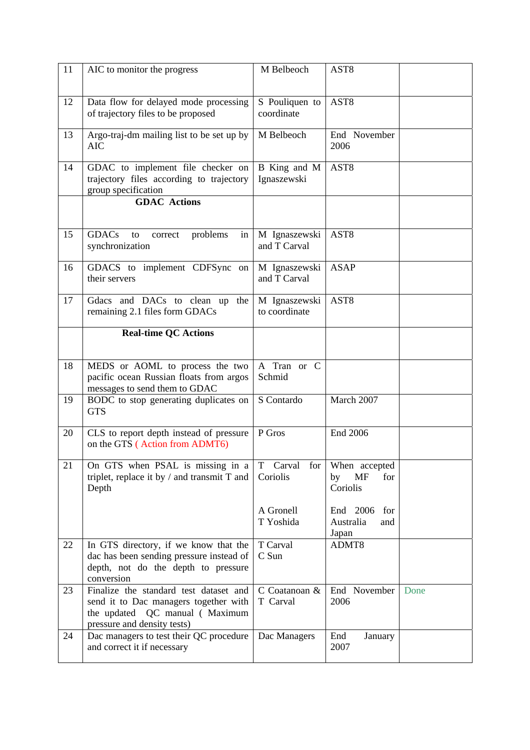| 11 | AIC to monitor the progress                                                                                                                      | M Belbeoch                     | AST <sub>8</sub>                             |      |
|----|--------------------------------------------------------------------------------------------------------------------------------------------------|--------------------------------|----------------------------------------------|------|
| 12 | Data flow for delayed mode processing<br>of trajectory files to be proposed                                                                      | S Pouliquen to<br>coordinate   | AST <sub>8</sub>                             |      |
| 13 | Argo-traj-dm mailing list to be set up by<br><b>AIC</b>                                                                                          | M Belbeoch                     | End November<br>2006                         |      |
| 14 | GDAC to implement file checker on<br>trajectory files according to trajectory<br>group specification                                             | B King and M<br>Ignaszewski    | AST <sub>8</sub>                             |      |
|    | <b>GDAC</b> Actions                                                                                                                              |                                |                                              |      |
| 15 | <b>GDACs</b><br>problems<br>to<br>correct<br>in<br>synchronization                                                                               | M Ignaszewski<br>and T Carval  | AST <sub>8</sub>                             |      |
| 16 | GDACS to implement CDFSync on<br>their servers                                                                                                   | M Ignaszewski<br>and T Carval  | <b>ASAP</b>                                  |      |
| 17 | Gdacs and DACs to clean up<br>the<br>remaining 2.1 files form GDACs                                                                              | M Ignaszewski<br>to coordinate | AST <sub>8</sub>                             |      |
|    | <b>Real-time QC Actions</b>                                                                                                                      |                                |                                              |      |
| 18 | MEDS or AOML to process the two<br>pacific ocean Russian floats from argos<br>messages to send them to GDAC                                      | A Tran or C<br>Schmid          |                                              |      |
| 19 | BODC to stop generating duplicates on<br><b>GTS</b>                                                                                              | S Contardo                     | March 2007                                   |      |
| 20 | CLS to report depth instead of pressure<br>on the GTS (Action from ADMT6)                                                                        | P Gros                         | End 2006                                     |      |
| 21 | On GTS when PSAL is missing in a<br>triplet, replace it by $/$ and transmit T and<br>Depth                                                       | Carval<br>for<br>T<br>Coriolis | When accepted<br>MF<br>for<br>by<br>Coriolis |      |
|    |                                                                                                                                                  | A Gronell<br>T Yoshida         | End 2006<br>for<br>Australia<br>and<br>Japan |      |
| 22 | In GTS directory, if we know that the<br>dac has been sending pressure instead of<br>depth, not do the depth to pressure<br>conversion           | T Carval<br>C Sun              | ADMT8                                        |      |
| 23 | Finalize the standard test dataset and<br>send it to Dac managers together with<br>the updated QC manual (Maximum<br>pressure and density tests) | C Coatanoan &<br>T Carval      | End November<br>2006                         | Done |
| 24 | Dac managers to test their QC procedure<br>and correct it if necessary                                                                           | Dac Managers                   | End<br>January<br>2007                       |      |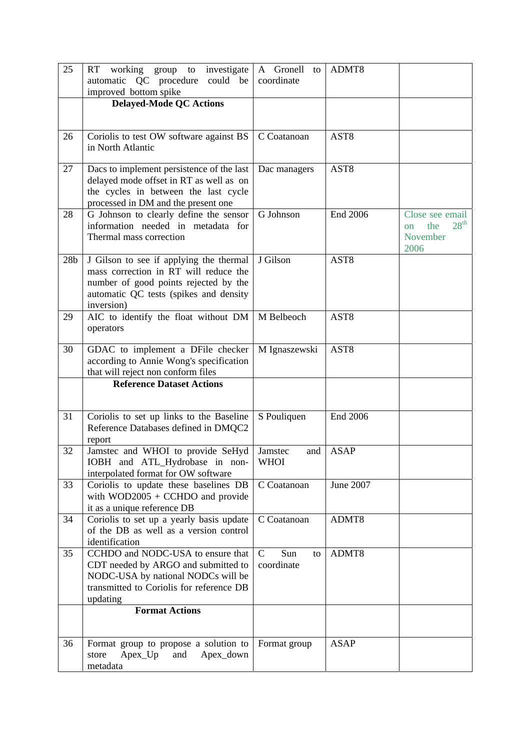| 25              | working<br>investigate<br>RT<br>group<br>${\rm to}$<br>automatic QC procedure could be                                                                                            | A Gronell<br>to<br>coordinate           | ADMT8            |                                                                                 |
|-----------------|-----------------------------------------------------------------------------------------------------------------------------------------------------------------------------------|-----------------------------------------|------------------|---------------------------------------------------------------------------------|
|                 | improved bottom spike                                                                                                                                                             |                                         |                  |                                                                                 |
|                 | <b>Delayed-Mode QC Actions</b>                                                                                                                                                    |                                         |                  |                                                                                 |
|                 |                                                                                                                                                                                   |                                         |                  |                                                                                 |
| 26              | Coriolis to test OW software against BS                                                                                                                                           | C Coatanoan                             | AST <sub>8</sub> |                                                                                 |
|                 | in North Atlantic                                                                                                                                                                 |                                         |                  |                                                                                 |
| 27              | Dacs to implement persistence of the last<br>delayed mode offset in RT as well as on<br>the cycles in between the last cycle<br>processed in DM and the present one               | Dac managers                            | AST <sub>8</sub> |                                                                                 |
| 28              | G Johnson to clearly define the sensor<br>information needed in metadata for<br>Thermal mass correction                                                                           | G Johnson                               | End 2006         | Close see email<br>28 <sup>th</sup><br>the<br><sub>on</sub><br>November<br>2006 |
| 28 <sub>b</sub> | J Gilson to see if applying the thermal<br>mass correction in RT will reduce the<br>number of good points rejected by the<br>automatic QC tests (spikes and density<br>inversion) | J Gilson                                | AST <sub>8</sub> |                                                                                 |
| 29              | AIC to identify the float without DM<br>operators                                                                                                                                 | M Belbeoch                              | AST <sub>8</sub> |                                                                                 |
| 30              | GDAC to implement a DFile checker<br>according to Annie Wong's specification<br>that will reject non conform files                                                                | M Ignaszewski                           | AST <sub>8</sub> |                                                                                 |
|                 | <b>Reference Dataset Actions</b>                                                                                                                                                  |                                         |                  |                                                                                 |
|                 |                                                                                                                                                                                   |                                         |                  |                                                                                 |
| 31              | Coriolis to set up links to the Baseline<br>Reference Databases defined in DMQC2<br>report                                                                                        | S Pouliquen                             | End 2006         |                                                                                 |
| 32              | Jamstec and WHOI to provide SeHyd<br>IOBH and ATL_Hydrobase in non-<br>interpolated format for OW software                                                                        | Jamstec<br>and<br><b>WHOI</b>           | <b>ASAP</b>      |                                                                                 |
| 33              | Coriolis to update these baselines DB<br>with $WOD2005 + CCHDO$ and provide<br>it as a unique reference DB                                                                        | C Coatanoan                             | June 2007        |                                                                                 |
| 34              | Coriolis to set up a yearly basis update<br>of the DB as well as a version control<br>identification                                                                              | C Coatanoan                             | ADMT8            |                                                                                 |
| 35              | CCHDO and NODC-USA to ensure that<br>CDT needed by ARGO and submitted to<br>NODC-USA by national NODCs will be<br>transmitted to Coriolis for reference DB<br>updating            | $\mathsf{C}$<br>Sun<br>to<br>coordinate | ADMT8            |                                                                                 |
|                 | <b>Format Actions</b>                                                                                                                                                             |                                         |                  |                                                                                 |
| 36              | Format group to propose a solution to<br>$A$ pex $U$ p<br>and<br>Apex_down<br>store<br>metadata                                                                                   | Format group                            | <b>ASAP</b>      |                                                                                 |